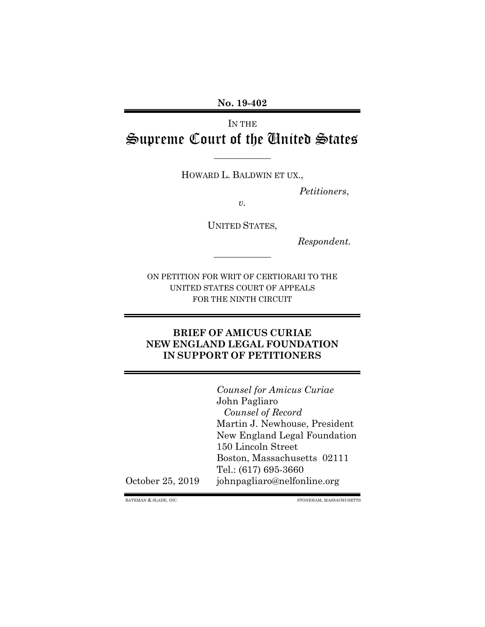**No. 19-402**

# IN THE Supreme Court of the United States

HOWARD L. BALDWIN ET UX.,

*Petitioners*,

*v.*

UNITED STATES,

*Respondent.*

ON PETITION FOR WRIT OF CERTIORARI TO THE UNITED STATES COURT OF APPEALS FOR THE NINTH CIRCUIT

#### **BRIEF OF AMICUS CURIAE NEW ENGLAND LEGAL FOUNDATION IN SUPPORT OF PETITIONERS**

*Counsel for Amicus Curiae* John Pagliaro *Counsel of Record* Martin J. Newhouse, President New England Legal Foundation 150 Lincoln Street Boston, Massachusetts 02111 Tel.: (617) 695-3660 October 25, 2019 johnpagliaro@nelfonline.org

BATEMAN & SLADE, INC. STONEHAM, MASSACHUSETTS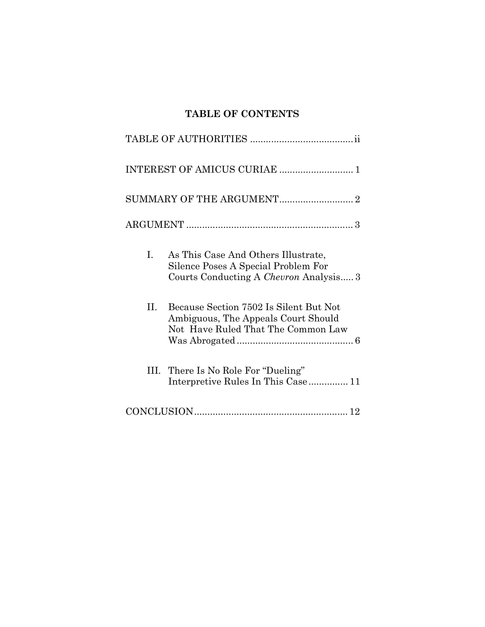# **TABLE OF CONTENTS**

| Ι.  | As This Case And Others Illustrate,<br>Silence Poses A Special Problem For<br>Courts Conducting A Chevron Analysis 3 |  |
|-----|----------------------------------------------------------------------------------------------------------------------|--|
| II. | Because Section 7502 Is Silent But Not<br>Ambiguous, The Appeals Court Should<br>Not Have Ruled That The Common Law  |  |
| Ш.  | There Is No Role For "Dueling"<br>Interpretive Rules In This Case 11                                                 |  |
|     |                                                                                                                      |  |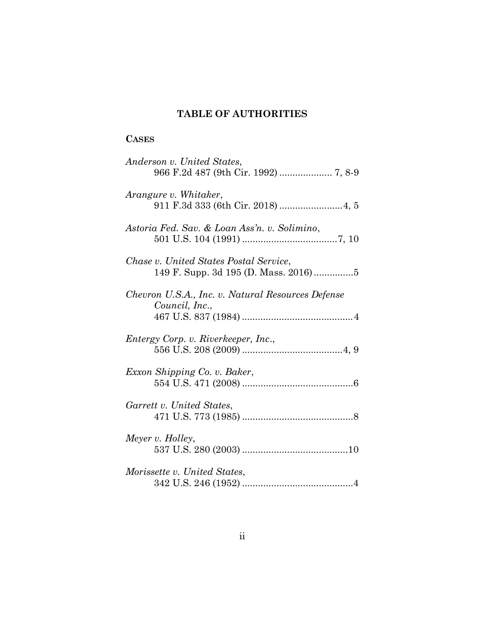## **TABLE OF AUTHORITIES**

### **CASES**

| Anderson v. United States,                                                     |
|--------------------------------------------------------------------------------|
| Arangure v. Whitaker,                                                          |
| Astoria Fed. Sav. & Loan Ass'n. v. Solimino,                                   |
| Chase v. United States Postal Service,<br>149 F. Supp. 3d 195 (D. Mass. 2016)5 |
| Chevron U.S.A., Inc. v. Natural Resources Defense<br>Council, Inc.,            |
| Entergy Corp. v. Riverkeeper, Inc.,                                            |
| Exxon Shipping Co. v. Baker,                                                   |
| Garrett v. United States,                                                      |
| Meyer v. Holley,                                                               |
| Morissette v. United States,                                                   |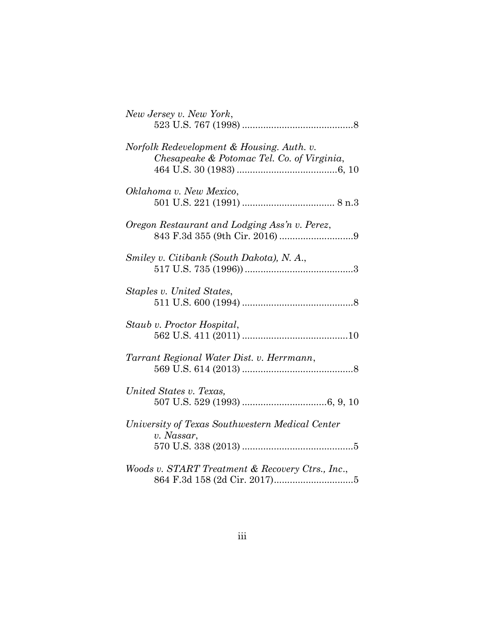| New Jersey v. New York,                                                                 |
|-----------------------------------------------------------------------------------------|
| Norfolk Redevelopment & Housing. Auth. v.<br>Chesapeake & Potomac Tel. Co. of Virginia, |
| Oklahoma v. New Mexico,                                                                 |
| Oregon Restaurant and Lodging Ass'n v. Perez,                                           |
| Smiley v. Citibank (South Dakota), N. A.,                                               |
| Staples v. United States,                                                               |
| Staub v. Proctor Hospital,                                                              |
| Tarrant Regional Water Dist. v. Herrmann,                                               |
| United States v. Texas,                                                                 |
| University of Texas Southwestern Medical Center<br>v. Nassar,                           |
| Woods v. START Treatment & Recovery Ctrs., Inc.,                                        |

864 F.3d 158 (2d Cir. 2017) ..............................5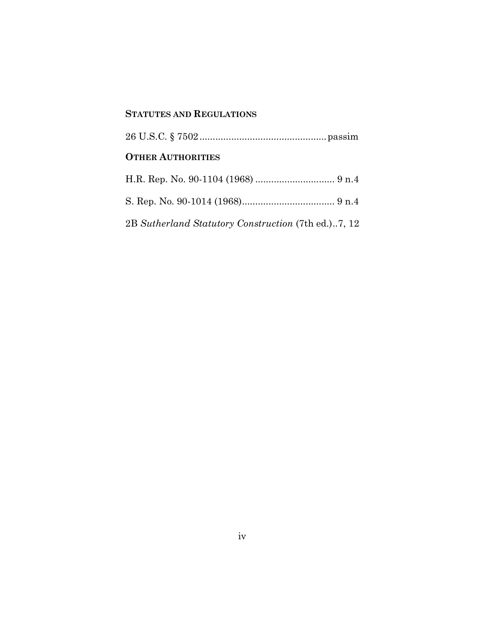### **STATUTES AND REGULATIONS**

| <b>OTHER AUTHORITIES</b>                            |
|-----------------------------------------------------|
|                                                     |
|                                                     |
| 2B Sutherland Statutory Construction (7th ed.)7, 12 |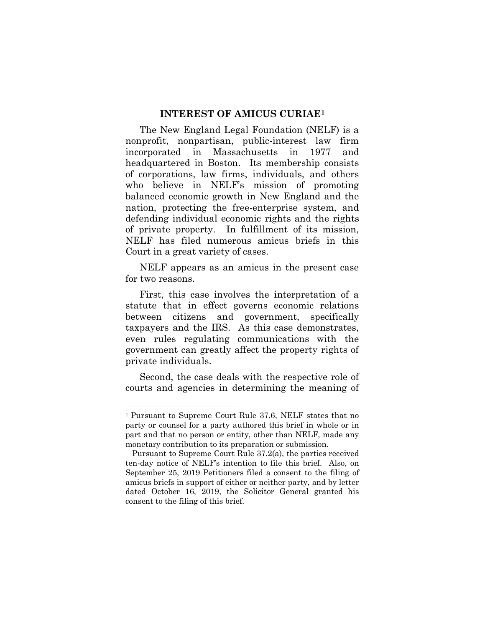#### **INTEREST OF AMICUS CURIAE<sup>1</sup>**

The New England Legal Foundation (NELF) is a nonprofit, nonpartisan, public-interest law firm incorporated in Massachusetts in 1977 and headquartered in Boston. Its membership consists of corporations, law firms, individuals, and others who believe in NELF's mission of promoting balanced economic growth in New England and the nation, protecting the free-enterprise system, and defending individual economic rights and the rights of private property. In fulfillment of its mission, NELF has filed numerous amicus briefs in this Court in a great variety of cases.

NELF appears as an amicus in the present case for two reasons.

First, this case involves the interpretation of a statute that in effect governs economic relations between citizens and government, specifically taxpayers and the IRS. As this case demonstrates, even rules regulating communications with the government can greatly affect the property rights of private individuals.

Second, the case deals with the respective role of courts and agencies in determining the meaning of

<sup>1</sup> Pursuant to Supreme Court Rule 37.6, NELF states that no party or counsel for a party authored this brief in whole or in part and that no person or entity, other than NELF, made any monetary contribution to its preparation or submission.

Pursuant to Supreme Court Rule 37.2(a), the parties received ten-day notice of NELF's intention to file this brief. Also, on September 25, 2019 Petitioners filed a consent to the filing of amicus briefs in support of either or neither party, and by letter dated October 16, 2019, the Solicitor General granted his consent to the filing of this brief.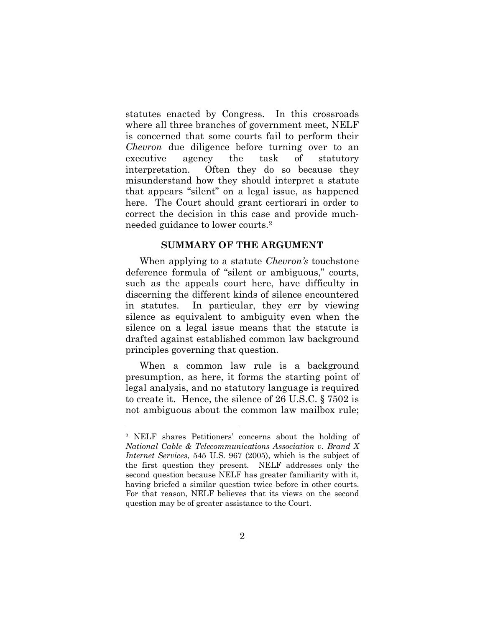statutes enacted by Congress. In this crossroads where all three branches of government meet, NELF is concerned that some courts fail to perform their *Chevron* due diligence before turning over to an executive agency the task of statutory interpretation. Often they do so because they misunderstand how they should interpret a statute that appears "silent" on a legal issue, as happened here. The Court should grant certiorari in order to correct the decision in this case and provide muchneeded guidance to lower courts.<sup>2</sup>

#### **SUMMARY OF THE ARGUMENT**

When applying to a statute *Chevron's* touchstone deference formula of "silent or ambiguous," courts, such as the appeals court here, have difficulty in discerning the different kinds of silence encountered in statutes. In particular, they err by viewing silence as equivalent to ambiguity even when the silence on a legal issue means that the statute is drafted against established common law background principles governing that question.

When a common law rule is a background presumption, as here, it forms the starting point of legal analysis, and no statutory language is required to create it. Hence, the silence of 26 U.S.C. § 7502 is not ambiguous about the common law mailbox rule;

<sup>2</sup> NELF shares Petitioners' concerns about the holding of *National Cable & Telecommunications Association v. Brand X Internet Services*, 545 U.S. 967 (2005), which is the subject of the first question they present. NELF addresses only the second question because NELF has greater familiarity with it, having briefed a similar question twice before in other courts. For that reason, NELF believes that its views on the second question may be of greater assistance to the Court.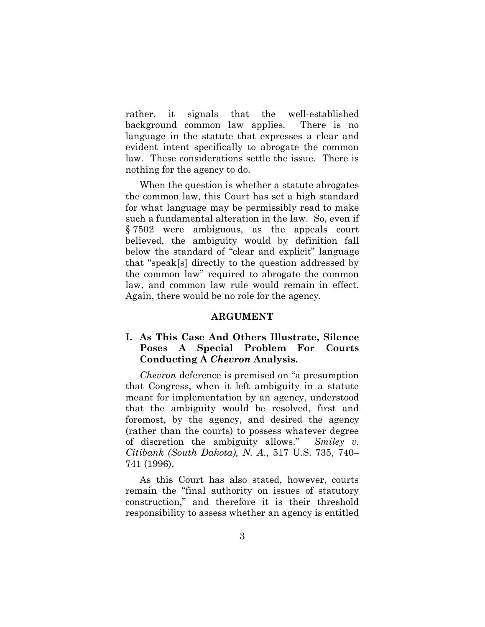rather, it signals that the well-established background common law applies. There is no language in the statute that expresses a clear and evident intent specifically to abrogate the common law. These considerations settle the issue. There is nothing for the agency to do.

When the question is whether a statute abrogates the common law, this Court has set a high standard for what language may be permissibly read to make such a fundamental alteration in the law. So, even if § 7502 were ambiguous, as the appeals court believed, the ambiguity would by definition fall below the standard of "clear and explicit" language that "speak[s] directly to the question addressed by the common law" required to abrogate the common law, and common law rule would remain in effect. Again, there would be no role for the agency.

#### **ARGUMENT**

#### **I. As This Case And Others Illustrate, Silence Poses A Special Problem For Courts Conducting A** *Chevron* **Analysis.**

*Chevron* deference is premised on "a presumption that Congress, when it left ambiguity in a statute meant for implementation by an agency, understood that the ambiguity would be resolved, first and foremost, by the agency, and desired the agency (rather than the courts) to possess whatever degree of discretion the ambiguity allows." *Smiley v. Citibank (South Dakota), N. A*., 517 U.S. 735, 740– 741 (1996).

As this Court has also stated, however, courts remain the "final authority on issues of statutory construction," and therefore it is their threshold responsibility to assess whether an agency is entitled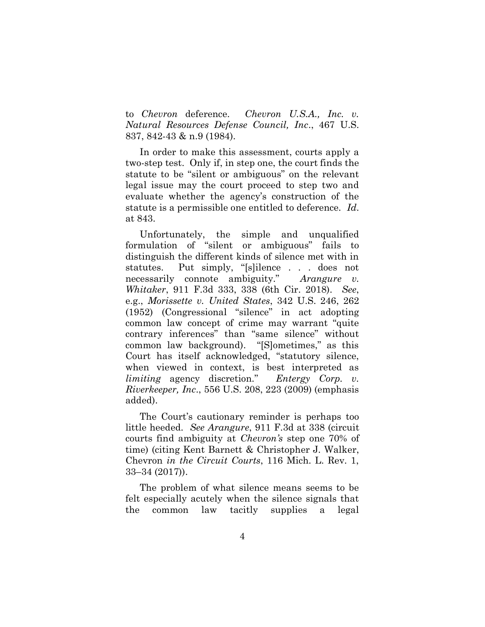to *Chevron* deference. *Chevron U.S.A., Inc. v. Natural Resources Defense Council, Inc*., 467 U.S. 837, 842-43 & n.9 (1984).

In order to make this assessment, courts apply a two-step test. Only if, in step one, the court finds the statute to be "silent or ambiguous" on the relevant legal issue may the court proceed to step two and evaluate whether the agency's construction of the statute is a permissible one entitled to deference. *Id*. at 843.

Unfortunately, the simple and unqualified formulation of "silent or ambiguous" fails to distinguish the different kinds of silence met with in statutes. Put simply, "[s]ilence . . . does not necessarily connote ambiguity." *Arangure v. Whitaker*, 911 F.3d 333, 338 (6th Cir. 2018). *See*, e.g., *Morissette v. United States*, 342 U.S. 246, 262 (1952) (Congressional "silence" in act adopting common law concept of crime may warrant "quite contrary inferences" than "same silence" without common law background). "[S]ometimes," as this Court has itself acknowledged, "statutory silence, when viewed in context, is best interpreted as *limiting* agency discretion." *Entergy Corp. v. Riverkeeper, Inc*., 556 U.S. 208, 223 (2009) (emphasis added).

The Court's cautionary reminder is perhaps too little heeded. *See Arangure*, 911 F.3d at 338 (circuit courts find ambiguity at *Chevron's* step one 70% of time) (citing Kent Barnett & Christopher J. Walker, Chevron *in the Circuit Courts*, 116 Mich. L. Rev. 1, 33–34 (2017)).

The problem of what silence means seems to be felt especially acutely when the silence signals that the common law tacitly supplies a legal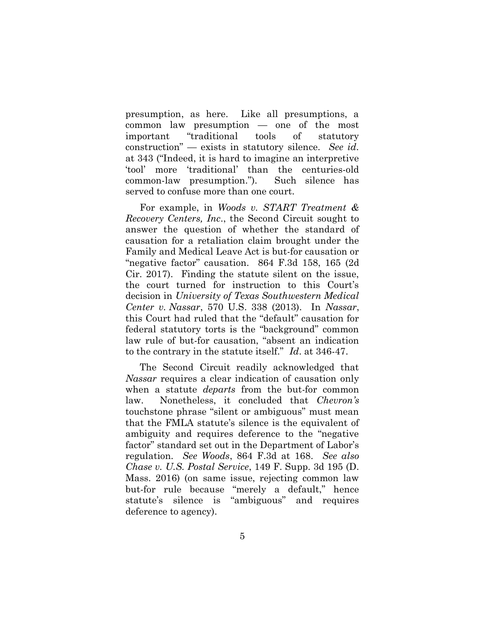presumption, as here. Like all presumptions, a common law presumption — one of the most important "traditional tools of statutory construction" — exists in statutory silence. *See id.* at 343 ("Indeed, it is hard to imagine an interpretive 'tool' more 'traditional' than the centuries-old common-law presumption."). Such silence has served to confuse more than one court.

For example, in *Woods v. START Treatment & Recovery Centers, Inc*., the Second Circuit sought to answer the question of whether the standard of causation for a retaliation claim brought under the Family and Medical Leave Act is but-for causation or "negative factor" causation. 864 F.3d 158, 165 (2d Cir. 2017). Finding the statute silent on the issue, the court turned for instruction to this Court's decision in *University of Texas Southwestern Medical Center v. Nassar*, 570 U.S. 338 (2013). In *Nassar*, this Court had ruled that the "default" causation for federal statutory torts is the "background" common law rule of but-for causation, "absent an indication to the contrary in the statute itself." *Id*. at 346-47.

The Second Circuit readily acknowledged that *Nassar* requires a clear indication of causation only when a statute *departs* from the but-for common law. Nonetheless, it concluded that *Chevron's* touchstone phrase "silent or ambiguous" must mean that the FMLA statute's silence is the equivalent of ambiguity and requires deference to the "negative factor" standard set out in the Department of Labor's regulation. *See Woods*, 864 F.3d at 168. *See also Chase v. U.S. Postal Service*, 149 F. Supp. 3d 195 (D. Mass. 2016) (on same issue, rejecting common law but-for rule because "merely a default," hence statute's silence is "ambiguous" and requires deference to agency).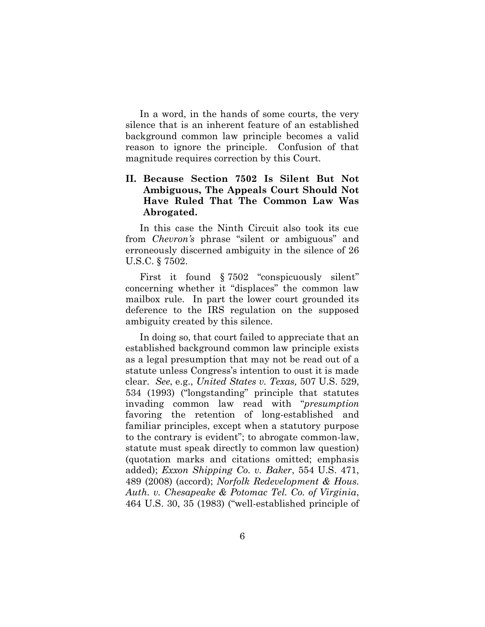In a word, in the hands of some courts, the very silence that is an inherent feature of an established background common law principle becomes a valid reason to ignore the principle. Confusion of that magnitude requires correction by this Court.

#### **II. Because Section 7502 Is Silent But Not Ambiguous, The Appeals Court Should Not Have Ruled That The Common Law Was Abrogated.**

In this case the Ninth Circuit also took its cue from *Chevron's* phrase "silent or ambiguous" and erroneously discerned ambiguity in the silence of 26 U.S.C. § 7502.

First it found § 7502 "conspicuously silent" concerning whether it "displaces" the common law mailbox rule. In part the lower court grounded its deference to the IRS regulation on the supposed ambiguity created by this silence.

In doing so, that court failed to appreciate that an established background common law principle exists as a legal presumption that may not be read out of a statute unless Congress's intention to oust it is made clear. *See*, e.g., *United States v. Texas,* 507 U.S. 529, 534 (1993) ("longstanding" principle that statutes invading common law read with "*presumption* favoring the retention of long-established and familiar principles, except when a statutory purpose to the contrary is evident"; to abrogate common-law, statute must speak directly to common law question) (quotation marks and citations omitted; emphasis added); *Exxon Shipping Co. v. Baker*, 554 U.S. 471, 489 (2008) (accord); *Norfolk Redevelopment & Hous. Auth. v. Chesapeake & Potomac Tel. Co. of Virginia*, 464 U.S. 30, 35 (1983) ("well-established principle of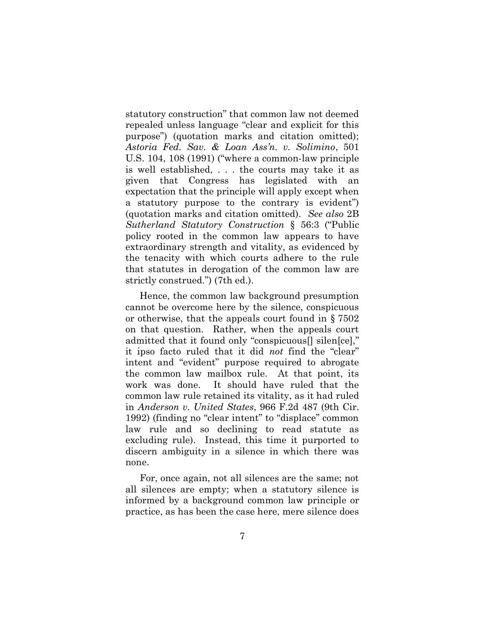statutory construction" that common law not deemed repealed unless language "clear and explicit for this purpose") (quotation marks and citation omitted); *Astoria Fed. Sav. & Loan Ass'n. v. Solimino*, 501 U.S. 104, 108 (1991) ("where a common-law principle is well established, . . . the courts may take it as given that Congress has legislated with an expectation that the principle will apply except when a statutory purpose to the contrary is evident") (quotation marks and citation omitted). *See also* 2B *Sutherland Statutory Construction* § 56:3 ("Public policy rooted in the common law appears to have extraordinary strength and vitality, as evidenced by the tenacity with which courts adhere to the rule that statutes in derogation of the common law are strictly construed.") (7th ed.).

Hence, the common law background presumption cannot be overcome here by the silence, conspicuous or otherwise, that the appeals court found in § 7502 on that question. Rather, when the appeals court admitted that it found only "conspicuous<sup>[]</sup> silen[ce]," it ipso facto ruled that it did *not* find the "clear" intent and "evident" purpose required to abrogate the common law mailbox rule. At that point, its work was done. It should have ruled that the common law rule retained its vitality, as it had ruled in *Anderson v. United States*, 966 F.2d 487 (9th Cir. 1992) (finding no "clear intent" to "displace" common law rule and so declining to read statute as excluding rule). Instead, this time it purported to discern ambiguity in a silence in which there was none.

For, once again, not all silences are the same; not all silences are empty; when a statutory silence is informed by a background common law principle or practice, as has been the case here, mere silence does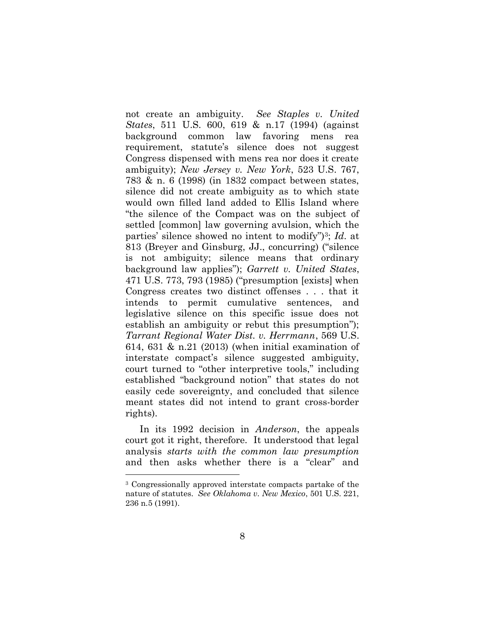not create an ambiguity. *See Staples v. United States*, 511 U.S. 600, 619 & n.17 (1994) (against background common law favoring mens rea requirement, statute's silence does not suggest Congress dispensed with mens rea nor does it create ambiguity); *New Jersey v. New York*, 523 U.S. 767, 783 & n. 6 (1998) (in 1832 compact between states, silence did not create ambiguity as to which state would own filled land added to Ellis Island where "the silence of the Compact was on the subject of settled [common] law governing avulsion, which the parties' silence showed no intent to modify")3; *Id*. at 813 (Breyer and Ginsburg, JJ., concurring) ("silence is not ambiguity; silence means that ordinary background law applies"); *Garrett v. United States*, 471 U.S. 773, 793 (1985) ("presumption [exists] when Congress creates two distinct offenses . . . that it intends to permit cumulative sentences, and legislative silence on this specific issue does not establish an ambiguity or rebut this presumption"); *Tarrant Regional Water Dist. v. Herrmann*, 569 U.S. 614, 631 & n.21 (2013) (when initial examination of interstate compact's silence suggested ambiguity, court turned to "other interpretive tools," including established "background notion" that states do not easily cede sovereignty, and concluded that silence meant states did not intend to grant cross-border rights).

In its 1992 decision in *Anderson*, the appeals court got it right, therefore. It understood that legal analysis *starts with the common law presumption* and then asks whether there is a "clear" and

<sup>3</sup> Congressionally approved interstate compacts partake of the nature of statutes. *See Oklahoma v. New Mexico*, 501 U.S. 221, 236 n.5 (1991).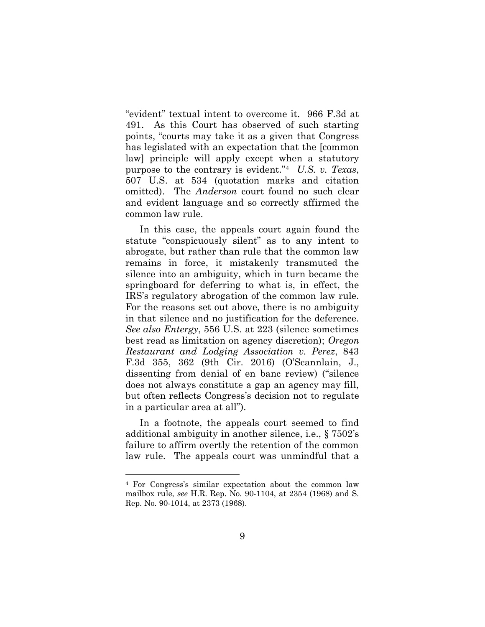"evident" textual intent to overcome it. 966 F.3d at 491. As this Court has observed of such starting points, "courts may take it as a given that Congress has legislated with an expectation that the [common law] principle will apply except when a statutory purpose to the contrary is evident."<sup>4</sup> *U.S. v. Texas*, 507 U.S. at 534 (quotation marks and citation omitted). The *Anderson* court found no such clear and evident language and so correctly affirmed the common law rule.

In this case, the appeals court again found the statute "conspicuously silent" as to any intent to abrogate, but rather than rule that the common law remains in force, it mistakenly transmuted the silence into an ambiguity, which in turn became the springboard for deferring to what is, in effect, the IRS's regulatory abrogation of the common law rule. For the reasons set out above, there is no ambiguity in that silence and no justification for the deference. *See also Entergy*, 556 U.S. at 223 (silence sometimes best read as limitation on agency discretion); *Oregon Restaurant and Lodging Association v. Perez*, 843 F.3d 355, 362 (9th Cir. 2016) (O'Scannlain, J., dissenting from denial of en banc review) ("silence does not always constitute a gap an agency may fill, but often reflects Congress's decision not to regulate in a particular area at all").

In a footnote, the appeals court seemed to find additional ambiguity in another silence, i.e., § 7502's failure to affirm overtly the retention of the common law rule. The appeals court was unmindful that a

<sup>4</sup> For Congress's similar expectation about the common law mailbox rule, *see* H.R. Rep. No. 90-1104, at 2354 (1968) and S. Rep. No. 90-1014, at 2373 (1968).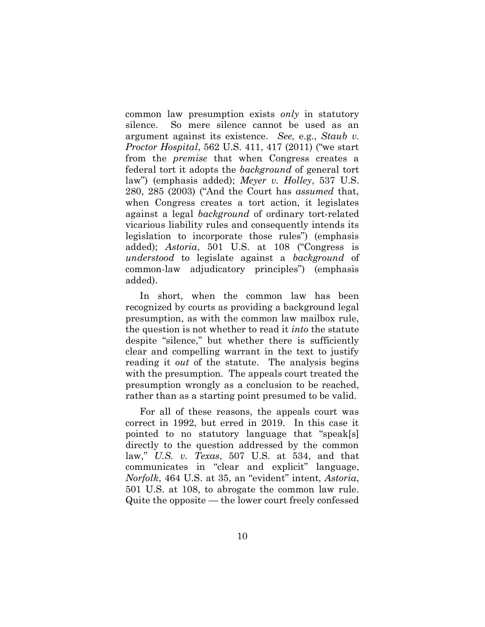common law presumption exists *only* in statutory silence. So mere silence cannot be used as an argument against its existence. *See*, e.g., *Staub v. Proctor Hospital*, 562 U.S. 411, 417 (2011) ("we start from the *premise* that when Congress creates a federal tort it adopts the *background* of general tort law") (emphasis added); *Meyer v. Holley*, 537 U.S. 280, 285 (2003) ("And the Court has *assumed* that, when Congress creates a tort action, it legislates against a legal *background* of ordinary tort-related vicarious liability rules and consequently intends its legislation to incorporate those rules") (emphasis added); *Astoria*, 501 U.S. at 108 ("Congress is *understood* to legislate against a *background* of common-law adjudicatory principles") (emphasis added).

In short, when the common law has been recognized by courts as providing a background legal presumption, as with the common law mailbox rule, the question is not whether to read it *into* the statute despite "silence," but whether there is sufficiently clear and compelling warrant in the text to justify reading it *out* of the statute. The analysis begins with the presumption. The appeals court treated the presumption wrongly as a conclusion to be reached, rather than as a starting point presumed to be valid.

For all of these reasons, the appeals court was correct in 1992, but erred in 2019. In this case it pointed to no statutory language that "speak[s] directly to the question addressed by the common law," *U.S. v. Texas*, 507 U.S. at 534, and that communicates in "clear and explicit" language, *Norfolk*, 464 U.S. at 35, an "evident" intent, *Astoria*, 501 U.S. at 108, to abrogate the common law rule. Quite the opposite — the lower court freely confessed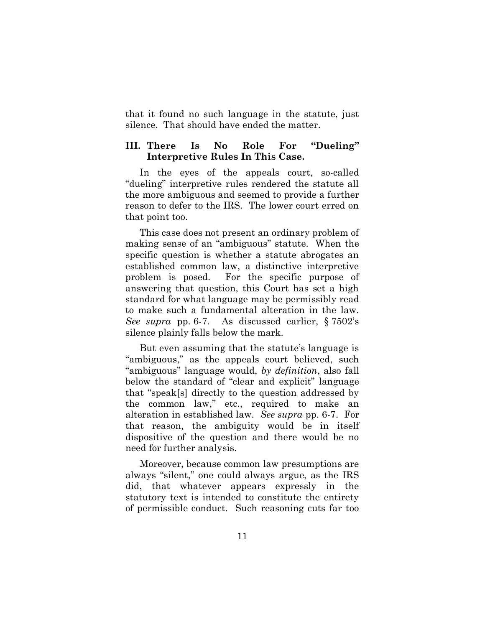that it found no such language in the statute, just silence. That should have ended the matter.

#### **III. There Is No Role For "Dueling" Interpretive Rules In This Case.**

In the eyes of the appeals court, so-called "dueling" interpretive rules rendered the statute all the more ambiguous and seemed to provide a further reason to defer to the IRS. The lower court erred on that point too.

This case does not present an ordinary problem of making sense of an "ambiguous" statute. When the specific question is whether a statute abrogates an established common law, a distinctive interpretive problem is posed. For the specific purpose of answering that question, this Court has set a high standard for what language may be permissibly read to make such a fundamental alteration in the law. *See supra* pp. 6-7. As discussed earlier, § 7502's silence plainly falls below the mark.

But even assuming that the statute's language is "ambiguous," as the appeals court believed, such "ambiguous" language would, *by definition*, also fall below the standard of "clear and explicit" language that "speak[s] directly to the question addressed by the common law," etc., required to make an alteration in established law. *See supra* pp. 6-7. For that reason, the ambiguity would be in itself dispositive of the question and there would be no need for further analysis.

Moreover, because common law presumptions are always "silent," one could always argue, as the IRS did, that whatever appears expressly in the statutory text is intended to constitute the entirety of permissible conduct. Such reasoning cuts far too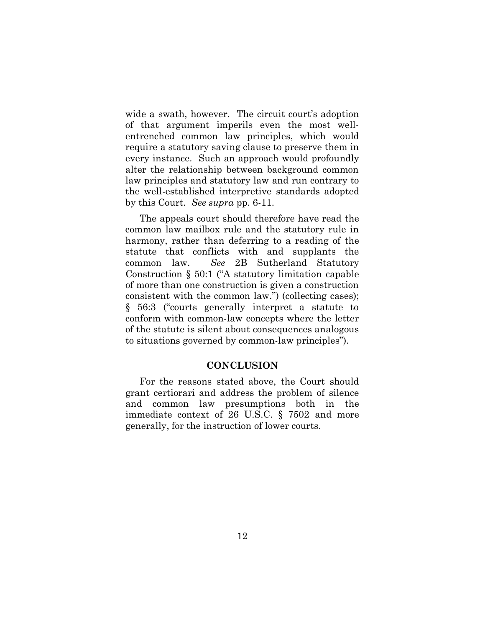wide a swath, however. The circuit court's adoption of that argument imperils even the most wellentrenched common law principles, which would require a statutory saving clause to preserve them in every instance. Such an approach would profoundly alter the relationship between background common law principles and statutory law and run contrary to the well-established interpretive standards adopted by this Court. *See supra* pp. 6-11.

The appeals court should therefore have read the common law mailbox rule and the statutory rule in harmony, rather than deferring to a reading of the statute that conflicts with and supplants the common law. *See* 2B Sutherland Statutory Construction § 50:1 ("A statutory limitation capable of more than one construction is given a construction consistent with the common law.") (collecting cases); § 56:3 ("courts generally interpret a statute to conform with common-law concepts where the letter of the statute is silent about consequences analogous to situations governed by common-law principles").

#### **CONCLUSION**

For the reasons stated above, the Court should grant certiorari and address the problem of silence and common law presumptions both in the immediate context of 26 U.S.C. § 7502 and more generally, for the instruction of lower courts.